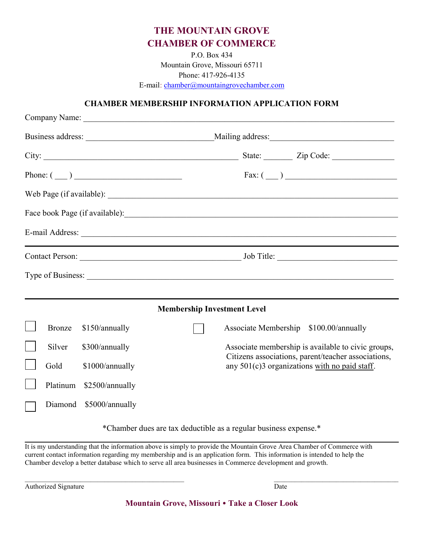## THE MOUNTAIN GROVE CHAMBER OF COMMERCE

P.O. Box 434 Mountain Grove, Missouri 65711 Phone: 417-926-4135 E-mail: chamber@mountaingrovechamber.com

## CHAMBER MEMBERSHIP INFORMATION APPLICATION FORM

| Phone: $(\_\_)$ |          |                 |                                    | Fax: (                                                                                                                                                                                                                         |  |
|-----------------|----------|-----------------|------------------------------------|--------------------------------------------------------------------------------------------------------------------------------------------------------------------------------------------------------------------------------|--|
|                 |          |                 |                                    |                                                                                                                                                                                                                                |  |
|                 |          |                 |                                    |                                                                                                                                                                                                                                |  |
|                 |          |                 |                                    | E-mail Address: No. 1998. The Commission of the Commission of the Commission of the Commission of the Commission of the Commission of the Commission of the Commission of the Commission of the Commission of the Commission o |  |
|                 |          |                 |                                    |                                                                                                                                                                                                                                |  |
|                 |          |                 |                                    |                                                                                                                                                                                                                                |  |
|                 |          |                 | <b>Membership Investment Level</b> |                                                                                                                                                                                                                                |  |
|                 | Bronze   | \$150/annually  |                                    | Associate Membership \$100.00/annually                                                                                                                                                                                         |  |
|                 | Silver   | \$300/annually  |                                    | Associate membership is available to civic groups,<br>Citizens associations, parent/teacher associations,                                                                                                                      |  |
|                 | Gold     | \$1000/annually |                                    | any 501(c)3 organizations with no paid staff.                                                                                                                                                                                  |  |
|                 | Platinum | \$2500/annually |                                    |                                                                                                                                                                                                                                |  |
|                 | Diamond  | \$5000/annually |                                    |                                                                                                                                                                                                                                |  |

\*Chamber dues are tax deductible as a regular business expense.\*  $\mathcal{L}_\mathcal{L} = \mathcal{L}_\mathcal{L} = \mathcal{L}_\mathcal{L} = \mathcal{L}_\mathcal{L} = \mathcal{L}_\mathcal{L} = \mathcal{L}_\mathcal{L} = \mathcal{L}_\mathcal{L} = \mathcal{L}_\mathcal{L} = \mathcal{L}_\mathcal{L} = \mathcal{L}_\mathcal{L} = \mathcal{L}_\mathcal{L} = \mathcal{L}_\mathcal{L} = \mathcal{L}_\mathcal{L} = \mathcal{L}_\mathcal{L} = \mathcal{L}_\mathcal{L} = \mathcal{L}_\mathcal{L} = \mathcal{L}_\mathcal{L}$ 

It is my understanding that the information above is simply to provide the Mountain Grove Area Chamber of Commerce with current contact information regarding my membership and is an application form. This information is intended to help the Chamber develop a better database which to serve all area businesses in Commerce development and growth.

Authorized Signature Date **Date** 

Mountain Grove, Missouri • Take a Closer Look

 $\mathcal{L}_\mathcal{L} = \mathcal{L}_\mathcal{L} = \mathcal{L}_\mathcal{L} = \mathcal{L}_\mathcal{L} = \mathcal{L}_\mathcal{L} = \mathcal{L}_\mathcal{L} = \mathcal{L}_\mathcal{L} = \mathcal{L}_\mathcal{L} = \mathcal{L}_\mathcal{L} = \mathcal{L}_\mathcal{L} = \mathcal{L}_\mathcal{L} = \mathcal{L}_\mathcal{L} = \mathcal{L}_\mathcal{L} = \mathcal{L}_\mathcal{L} = \mathcal{L}_\mathcal{L} = \mathcal{L}_\mathcal{L} = \mathcal{L}_\mathcal{L}$